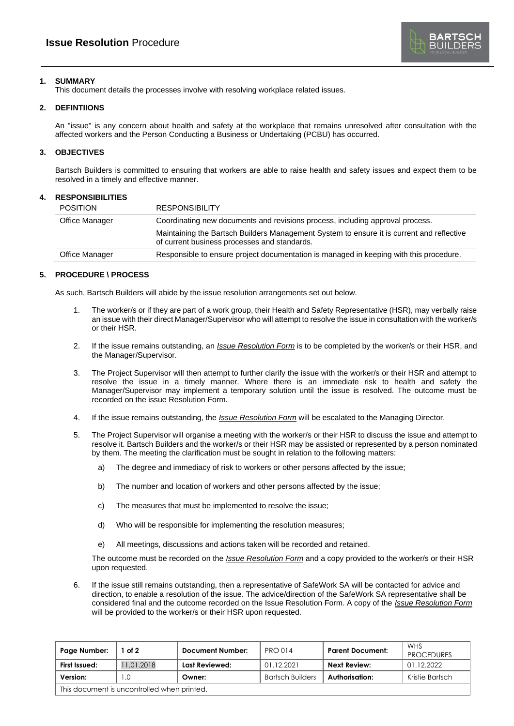

# **1. SUMMARY**

This document details the processes involve with resolving workplace related issues.

## **2. DEFINTIIONS**

An "issue" is any concern about health and safety at the workplace that remains unresolved after consultation with the affected workers and the Person Conducting a Business or Undertaking (PCBU) has occurred.

## **3. OBJECTIVES**

Bartsch Builders is committed to ensuring that workers are able to raise health and safety issues and expect them to be resolved in a timely and effective manner.

#### **4. RESPONSIBILITIES**

| POSITION       | <b>RESPONSIBILITY</b>                                                                                                                     |  |
|----------------|-------------------------------------------------------------------------------------------------------------------------------------------|--|
| Office Manager | Coordinating new documents and revisions process, including approval process.                                                             |  |
|                | Maintaining the Bartsch Builders Management System to ensure it is current and reflective<br>of current business processes and standards. |  |
| Office Manager | Responsible to ensure project documentation is managed in keeping with this procedure.                                                    |  |

# **5. PROCEDURE \ PROCESS**

As such, Bartsch Builders will abide by the issue resolution arrangements set out below.

- 1. The worker/s or if they are part of a work group, their Health and Safety Representative (HSR), may verbally raise an issue with their direct Manager/Supervisor who will attempt to resolve the issue in consultation with the worker/s or their HSR.
- 2. If the issue remains outstanding, an *Issue Resolution Form* is to be completed by the worker/s or their HSR, and the Manager/Supervisor.
- 3. The Project Supervisor will then attempt to further clarify the issue with the worker/s or their HSR and attempt to resolve the issue in a timely manner. Where there is an immediate risk to health and safety the Manager/Supervisor may implement a temporary solution until the issue is resolved. The outcome must be recorded on the issue Resolution Form.
- 4. If the issue remains outstanding, the *Issue Resolution Form* will be escalated to the Managing Director.
- 5. The Project Supervisor will organise a meeting with the worker/s or their HSR to discuss the issue and attempt to resolve it. Bartsch Builders and the worker/s or their HSR may be assisted or represented by a person nominated by them. The meeting the clarification must be sought in relation to the following matters:
	- a) The degree and immediacy of risk to workers or other persons affected by the issue;
	- b) The number and location of workers and other persons affected by the issue;
	- c) The measures that must be implemented to resolve the issue;
	- d) Who will be responsible for implementing the resolution measures;
	- e) All meetings, discussions and actions taken will be recorded and retained.

The outcome must be recorded on the *Issue Resolution Form* and a copy provided to the worker/s or their HSR upon requested.

6. If the issue still remains outstanding, then a representative of SafeWork SA will be contacted for advice and direction, to enable a resolution of the issue. The advice/direction of the SafeWork SA representative shall be considered final and the outcome recorded on the Issue Resolution Form. A copy of the *Issue Resolution Form* will be provided to the worker/s or their HSR upon requested.

| Page Number:                                | of $2$     | Document Number: | <b>PRO 014</b>          | <b>Parent Document:</b> | <b>WHS</b><br><b>PROCEDURES</b> |  |  |
|---------------------------------------------|------------|------------------|-------------------------|-------------------------|---------------------------------|--|--|
| First Issued:                               | 11.01.2018 | Last Reviewed:   | 01.12.2021              | Next Review:            | 01.12.2022                      |  |  |
| Version:                                    | . .O       | Owner:           | <b>Bartsch Builders</b> | Authorisation:          | Kristie Bartsch                 |  |  |
| This document is uncontrolled when printed. |            |                  |                         |                         |                                 |  |  |